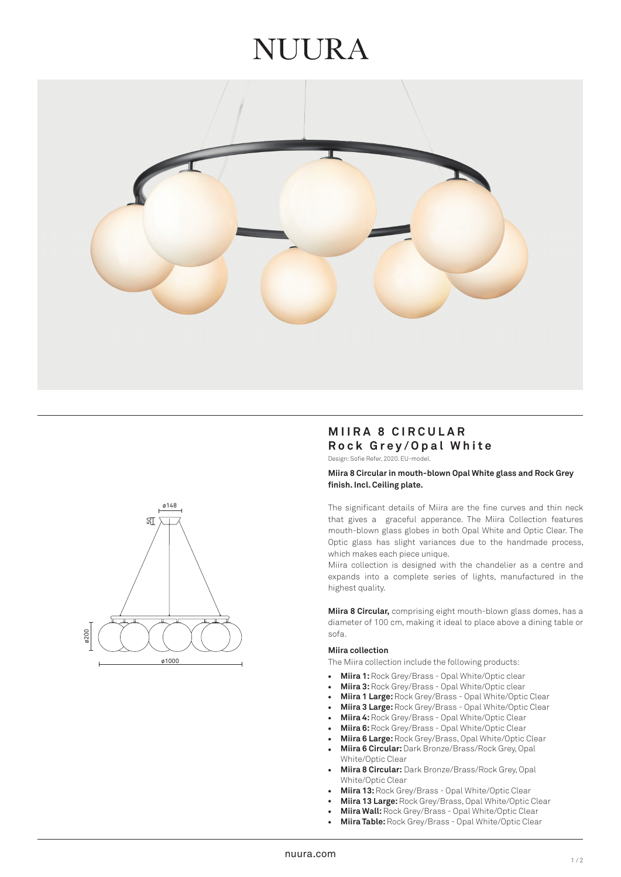# **JI JI JR A**





# **MIIRA 8 CIRCULAR Rock Grey/Opal White**

Design: Sofie Refer, 2020. EU-model.

#### **Miira 8 Circular in mouth-blown Opal White glass and Rock Grey finish. Incl. Ceiling plate.**

The significant details of Miira are the fine curves and thin neck that gives a graceful apperance. The Miira Collection features mouth-blown glass globes in both Opal White and Optic Clear. The Optic glass has slight variances due to the handmade process, which makes each piece unique.

Miira collection is designed with the chandelier as a centre and expands into a complete series of lights, manufactured in the highest quality.

**Miira 8 Circular,** comprising eight mouth-blown glass domes, has a diameter of 100 cm, making it ideal to place above a dining table or sofa.

#### **Miira collection**

The Miira collection include the following products:

- **Miira 1:** Rock Grey/Brass Opal White/Optic clear  $\bullet$
- **Miira 3:** Rock Grey/Brass Opal White/Optic clear
- **Miira 1 Large:** Rock Grey/Brass Opal White/Optic Clear
- **Miira 3 Large:** Rock Grey/Brass Opal White/Optic Clear
- **Miira 4:** Rock Grey/Brass Opal White/Optic Clear
- **Miira 6:** Rock Grey/Brass Opal White/Optic Clear
- **Miira 6 Large:** Rock Grey/Brass, Opal White/Optic Clear
- **Miira 6 Circular:** Dark Bronze/Brass/Rock Grey, Opal White/Optic Clear •••••••••••••
- **Miira 8 Circular:** Dark Bronze/Brass/Rock Grey, Opal White/Optic Clear
- **Miira 13:** Rock Grey/Brass Opal White/Optic Clear
- **Miira 13 Large:** Rock Grey/Brass, Opal White/Optic Clear
- **Miira Wall:** Rock Grey/Brass Opal White/Optic Clear
- **Miira Table:** Rock Grey/Brass Opal White/Optic Clear